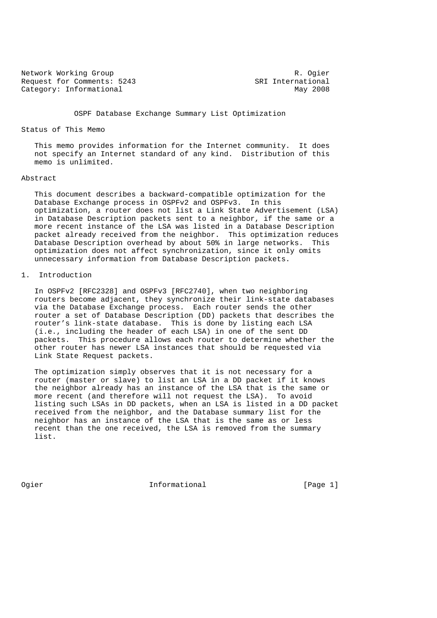Network Working Group **R. Ogier** R. Ogier Request for Comments: 5243 SRI International Category: Informational Category: Informational

OSPF Database Exchange Summary List Optimization

## Status of This Memo

 This memo provides information for the Internet community. It does not specify an Internet standard of any kind. Distribution of this memo is unlimited.

# Abstract

 This document describes a backward-compatible optimization for the Database Exchange process in OSPFv2 and OSPFv3. In this optimization, a router does not list a Link State Advertisement (LSA) in Database Description packets sent to a neighbor, if the same or a more recent instance of the LSA was listed in a Database Description packet already received from the neighbor. This optimization reduces Database Description overhead by about 50% in large networks. This optimization does not affect synchronization, since it only omits unnecessary information from Database Description packets.

# 1. Introduction

 In OSPFv2 [RFC2328] and OSPFv3 [RFC2740], when two neighboring routers become adjacent, they synchronize their link-state databases via the Database Exchange process. Each router sends the other router a set of Database Description (DD) packets that describes the router's link-state database. This is done by listing each LSA (i.e., including the header of each LSA) in one of the sent DD packets. This procedure allows each router to determine whether the other router has newer LSA instances that should be requested via Link State Request packets.

 The optimization simply observes that it is not necessary for a router (master or slave) to list an LSA in a DD packet if it knows the neighbor already has an instance of the LSA that is the same or more recent (and therefore will not request the LSA). To avoid listing such LSAs in DD packets, when an LSA is listed in a DD packet received from the neighbor, and the Database summary list for the neighbor has an instance of the LSA that is the same as or less recent than the one received, the LSA is removed from the summary list.

Ogier 11 Informational 1999 [Page 1]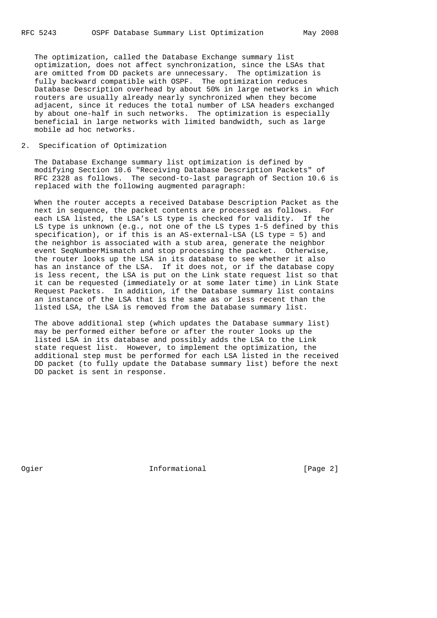The optimization, called the Database Exchange summary list optimization, does not affect synchronization, since the LSAs that are omitted from DD packets are unnecessary. The optimization is fully backward compatible with OSPF. The optimization reduces Database Description overhead by about 50% in large networks in which routers are usually already nearly synchronized when they become adjacent, since it reduces the total number of LSA headers exchanged by about one-half in such networks. The optimization is especially beneficial in large networks with limited bandwidth, such as large mobile ad hoc networks.

2. Specification of Optimization

 The Database Exchange summary list optimization is defined by modifying Section 10.6 "Receiving Database Description Packets" of RFC 2328 as follows. The second-to-last paragraph of Section 10.6 is replaced with the following augmented paragraph:

 When the router accepts a received Database Description Packet as the next in sequence, the packet contents are processed as follows. For each LSA listed, the LSA's LS type is checked for validity. If the LS type is unknown (e.g., not one of the LS types 1-5 defined by this specification), or if this is an AS-external-LSA (LS type = 5) and the neighbor is associated with a stub area, generate the neighbor event SeqNumberMismatch and stop processing the packet. Otherwise, the router looks up the LSA in its database to see whether it also has an instance of the LSA. If it does not, or if the database copy is less recent, the LSA is put on the Link state request list so that it can be requested (immediately or at some later time) in Link State Request Packets. In addition, if the Database summary list contains an instance of the LSA that is the same as or less recent than the listed LSA, the LSA is removed from the Database summary list.

 The above additional step (which updates the Database summary list) may be performed either before or after the router looks up the listed LSA in its database and possibly adds the LSA to the Link state request list. However, to implement the optimization, the additional step must be performed for each LSA listed in the received DD packet (to fully update the Database summary list) before the next DD packet is sent in response.

Ogier **Informational** Informational [Page 2]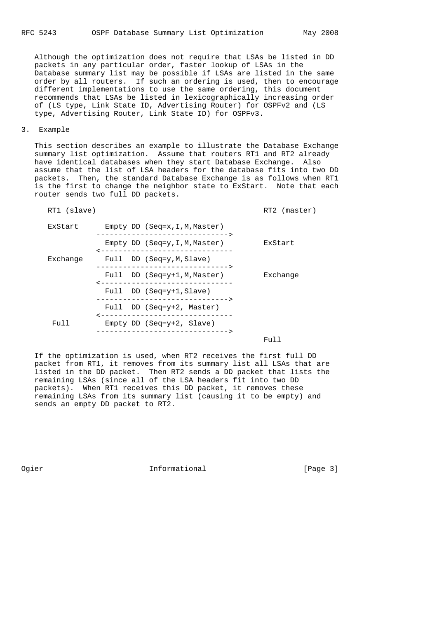Although the optimization does not require that LSAs be listed in DD packets in any particular order, faster lookup of LSAs in the Database summary list may be possible if LSAs are listed in the same order by all routers. If such an ordering is used, then to encourage different implementations to use the same ordering, this document recommends that LSAs be listed in lexicographically increasing order of (LS type, Link State ID, Advertising Router) for OSPFv2 and (LS type, Advertising Router, Link State ID) for OSPFv3.

3. Example

 This section describes an example to illustrate the Database Exchange summary list optimization. Assume that routers RT1 and RT2 already have identical databases when they start Database Exchange. Also assume that the list of LSA headers for the database fits into two DD packets. Then, the standard Database Exchange is as follows when RT1 is the first to change the neighbor state to ExStart. Note that each router sends two full DD packets.

RT1 (slave) RT1 (slave)

| ExStart  | Empty DD $(Seq=x, I, M, Master)$<br>-------------------------------> |          |
|----------|----------------------------------------------------------------------|----------|
|          | Empty DD $(Seq=y,I,M,Master)$<br>______________________________      | ExStart  |
| Exchange | Full DD (Seq=y, M, Slave)<br>------------------------------->        |          |
|          | Full DD (Seq=y+1, M, Master)<br>______________________________       | Exchange |
|          | Full DD (Seq=y+1, Slave)<br>------------------------------->         |          |
|          | Full DD (Seq=y+2, Master)<br>------------------------------          |          |
| Full     | Empty DD (Seq= $y+2$ , Slave)<br>_______________________________     |          |
|          |                                                                      | Full     |

 If the optimization is used, when RT2 receives the first full DD packet from RT1, it removes from its summary list all LSAs that are listed in the DD packet. Then RT2 sends a DD packet that lists the remaining LSAs (since all of the LSA headers fit into two DD packets). When RT1 receives this DD packet, it removes these remaining LSAs from its summary list (causing it to be empty) and sends an empty DD packet to RT2.

Ogier **Informational** Informational [Page 3]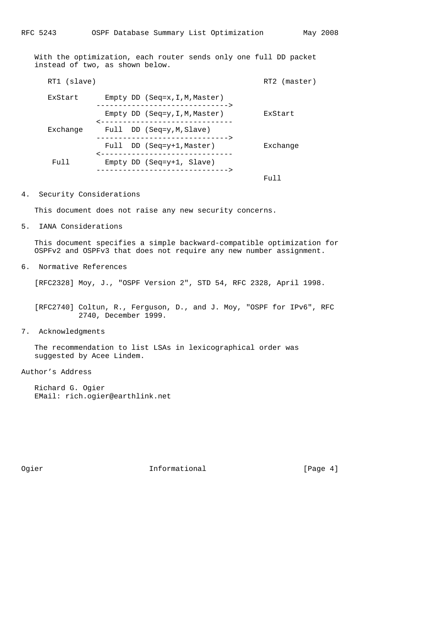With the optimization, each router sends only one full DD packet instead of two, as shown below.

| RT1 (slave) |                                                                    | RT2 (master) |
|-------------|--------------------------------------------------------------------|--------------|
| ExStart     | Empty DD $(Seq=x,I,M,Master)$<br>--------------------------------  |              |
|             | Empty DD $(Seq=y, I, M, Master)$<br>______________________________ | ExStart      |
| Exchange    | Full DD (Seq=y, M, Slave)<br>---------------------------------     |              |
|             | Full DD (Seq=y+1, Master)<br>------------------------------        | Exchange     |
| ן נוד       | Empty DD (Seq= $y+1$ , Slave)<br>--------------------------------  |              |
|             |                                                                    | Full         |

### 4. Security Considerations

This document does not raise any new security concerns.

5. IANA Considerations

 This document specifies a simple backward-compatible optimization for OSPFv2 and OSPFv3 that does not require any new number assignment.

6. Normative References

[RFC2328] Moy, J., "OSPF Version 2", STD 54, RFC 2328, April 1998.

 [RFC2740] Coltun, R., Ferguson, D., and J. Moy, "OSPF for IPv6", RFC 2740, December 1999.

7. Acknowledgments

 The recommendation to list LSAs in lexicographical order was suggested by Acee Lindem.

## Author's Address

 Richard G. Ogier EMail: rich.ogier@earthlink.net

Ogier 111 Informational 1797 [Page 4]